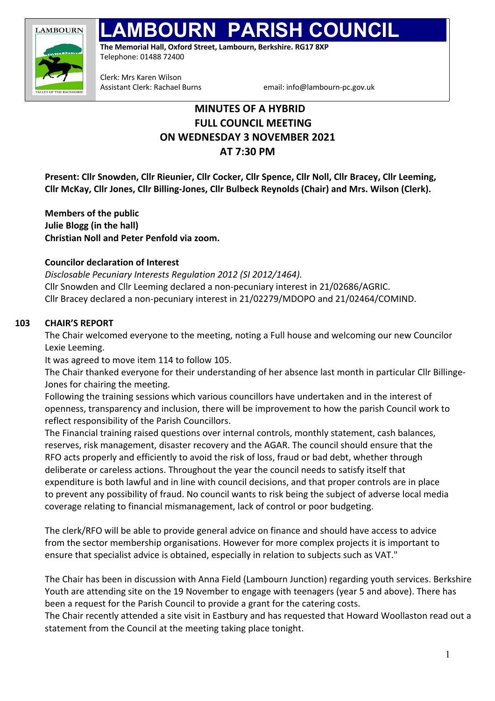

# **PARISH COUNCIL**

**The Memorial Hall, Oxford Street, Lambourn, Berkshire. RG17 8XP**  Telephone: 01488 72400

Clerk: Mrs Karen Wilson

Assistant Clerk: Rachael Burns email: info@lambourn-pc.gov.uk

## **MINUTES OF A HYBRID FULL COUNCIL MEETING ON WEDNESDAY 3 NOVEMBER 2021 AT 7:30 PM**

**Present: Cllr Snowden, Cllr Rieunier, Cllr Cocker, Cllr Spence, Cllr Noll, Cllr Bracey, Cllr Leeming, Cllr McKay, Cllr Jones, Cllr Billing-Jones, Cllr Bulbeck Reynolds (Chair) and Mrs. Wilson (Clerk).**

**Members of the public Julie Blogg (in the hall) Christian Noll and Peter Penfold via zoom.**

## **Councilor declaration of Interest**

*Disclosable Pecuniary Interests Regulation 2012 (SI 2012/1464).* Cllr Snowden and Cllr Leeming declared a non-pecuniary interest in 21/02686/AGRIC. Cllr Bracey declared a non-pecuniary interest in 21/02279/MDOPO and 21/02464/COMIND.

## **103 CHAIR'S REPORT**

The Chair welcomed everyone to the meeting, noting a Full house and welcoming our new Councilor Lexie Leeming.

It was agreed to move item 114 to follow 105.

The Chair thanked everyone for their understanding of her absence last month in particular Cllr Billinge-Jones for chairing the meeting.

Following the training sessions which various councillors have undertaken and in the interest of openness, transparency and inclusion, there will be improvement to how the parish Council work to reflect responsibility of the Parish Councillors.

The Financial training raised questions over internal controls, monthly statement, cash balances, reserves, risk management, disaster recovery and the AGAR. The council should ensure that the RFO acts properly and efficiently to avoid the risk of loss, fraud or bad debt, whether through deliberate or careless actions. Throughout the year the council needs to satisfy itself that expenditure is both lawful and in line with council decisions, and that proper controls are in place to prevent any possibility of fraud. No council wants to risk being the subject of adverse local media coverage relating to financial mismanagement, lack of control or poor budgeting.

The clerk/RFO will be able to provide general advice on finance and should have access to advice from the sector membership organisations. However for more complex projects it is important to ensure that specialist advice is obtained, especially in relation to subjects such as VAT."

The Chair has been in discussion with Anna Field (Lambourn Junction) regarding youth services. Berkshire Youth are attending site on the 19 November to engage with teenagers (year 5 and above). There has been a request for the Parish Council to provide a grant for the catering costs.

The Chair recently attended a site visit in Eastbury and has requested that Howard Woollaston read out a statement from the Council at the meeting taking place tonight.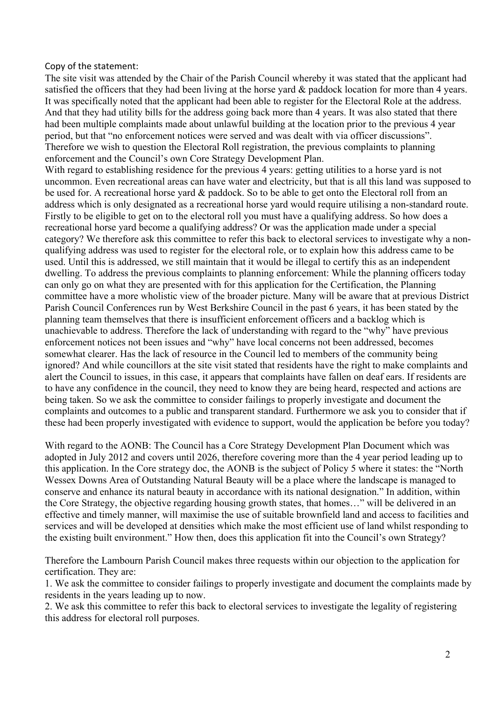#### Copy of the statement:

The site visit was attended by the Chair of the Parish Council whereby it was stated that the applicant had satisfied the officers that they had been living at the horse yard & paddock location for more than 4 years. It was specifically noted that the applicant had been able to register for the Electoral Role at the address. And that they had utility bills for the address going back more than 4 years. It was also stated that there had been multiple complaints made about unlawful building at the location prior to the previous 4 year period, but that "no enforcement notices were served and was dealt with via officer discussions". Therefore we wish to question the Electoral Roll registration, the previous complaints to planning enforcement and the Council's own Core Strategy Development Plan.

With regard to establishing residence for the previous 4 years: getting utilities to a horse vard is not uncommon. Even recreational areas can have water and electricity, but that is all this land was supposed to be used for. A recreational horse yard & paddock. So to be able to get onto the Electoral roll from an address which is only designated as a recreational horse yard would require utilising a non-standard route. Firstly to be eligible to get on to the electoral roll you must have a qualifying address. So how does a recreational horse yard become a qualifying address? Or was the application made under a special category? We therefore ask this committee to refer this back to electoral services to investigate why a nonqualifying address was used to register for the electoral role, or to explain how this address came to be used. Until this is addressed, we still maintain that it would be illegal to certify this as an independent dwelling. To address the previous complaints to planning enforcement: While the planning officers today can only go on what they are presented with for this application for the Certification, the Planning committee have a more wholistic view of the broader picture. Many will be aware that at previous District Parish Council Conferences run by West Berkshire Council in the past 6 years, it has been stated by the planning team themselves that there is insufficient enforcement officers and a backlog which is unachievable to address. Therefore the lack of understanding with regard to the "why" have previous enforcement notices not been issues and "why" have local concerns not been addressed, becomes somewhat clearer. Has the lack of resource in the Council led to members of the community being ignored? And while councillors at the site visit stated that residents have the right to make complaints and alert the Council to issues, in this case, it appears that complaints have fallen on deaf ears. If residents are to have any confidence in the council, they need to know they are being heard, respected and actions are being taken. So we ask the committee to consider failings to properly investigate and document the complaints and outcomes to a public and transparent standard. Furthermore we ask you to consider that if these had been properly investigated with evidence to support, would the application be before you today?

With regard to the AONB: The Council has a Core Strategy Development Plan Document which was adopted in July 2012 and covers until 2026, therefore covering more than the 4 year period leading up to this application. In the Core strategy doc, the AONB is the subject of Policy 5 where it states: the "North Wessex Downs Area of Outstanding Natural Beauty will be a place where the landscape is managed to conserve and enhance its natural beauty in accordance with its national designation." In addition, within the Core Strategy, the objective regarding housing growth states, that homes…" will be delivered in an effective and timely manner, will maximise the use of suitable brownfield land and access to facilities and services and will be developed at densities which make the most efficient use of land whilst responding to the existing built environment." How then, does this application fit into the Council's own Strategy?

Therefore the Lambourn Parish Council makes three requests within our objection to the application for certification. They are:

1. We ask the committee to consider failings to properly investigate and document the complaints made by residents in the years leading up to now.

2. We ask this committee to refer this back to electoral services to investigate the legality of registering this address for electoral roll purposes.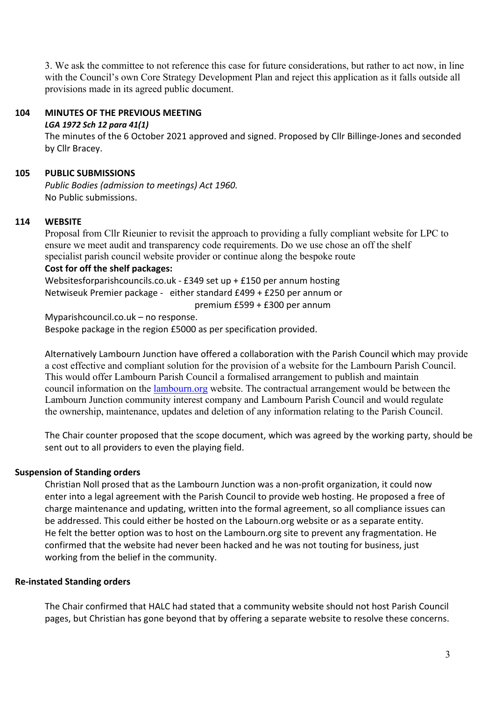3. We ask the committee to not reference this case for future considerations, but rather to act now, in line with the Council's own Core Strategy Development Plan and reject this application as it falls outside all provisions made in its agreed public document.

#### **104 MINUTES OF THE PREVIOUS MEETING**

#### *LGA 1972 Sch 12 para 41(1)*

The minutes of the 6 October 2021 approved and signed. Proposed by Cllr Billinge-Jones and seconded by Cllr Bracey.

#### **105 PUBLIC SUBMISSIONS**

*Public Bodies (admission to meetings) Act 1960.* No Public submissions.

#### **114 WEBSITE**

Proposal from Cllr Rieunier to revisit the approach to providing a fully compliant website for LPC to ensure we meet audit and transparency code requirements. Do we use chose an off the shelf specialist parish council website provider or continue along the bespoke route

## **Cost for off the shelf packages:**

Websitesforparishcouncils.co.uk - £349 set up + £150 per annum hosting Netwiseuk Premier package - either standard £499 + £250 per annum or

premium £599 + £300 per annum

Myparishcouncil.co.uk – no response. Bespoke package in the region £5000 as per specification provided.

Alternatively Lambourn Junction have offered a collaboration with the Parish Council which may provide a cost effective and compliant solution for the provision of a website for the Lambourn Parish Council. This would offer Lambourn Parish Council a formalised arrangement to publish and maintain council information on the lambourn.org website. The contractual arrangement would be between the Lambourn Junction community interest company and Lambourn Parish Council and would regulate the ownership, maintenance, updates and deletion of any information relating to the Parish Council.

The Chair counter proposed that the scope document, which was agreed by the working party, should be sent out to all providers to even the playing field.

#### **Suspension of Standing orders**

Christian Noll prosed that as the Lambourn Junction was a non-profit organization, it could now enter into a legal agreement with the Parish Council to provide web hosting. He proposed a free of charge maintenance and updating, written into the formal agreement, so all compliance issues can be addressed. This could either be hosted on the Labourn.org website or as a separate entity. He felt the better option was to host on the Lambourn.org site to prevent any fragmentation. He confirmed that the website had never been hacked and he was not touting for business, just working from the belief in the community.

#### **Re-instated Standing orders**

The Chair confirmed that HALC had stated that a community website should not host Parish Council pages, but Christian has gone beyond that by offering a separate website to resolve these concerns.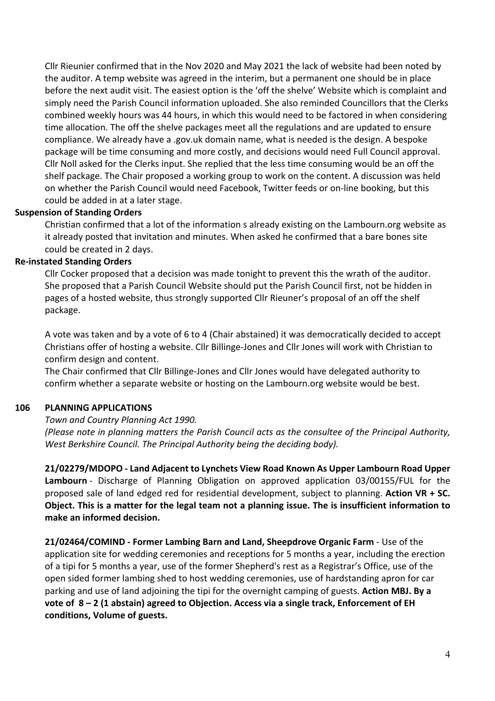Cllr Rieunier confirmed that in the Nov 2020 and May 2021 the lack of website had been noted by the auditor. A temp website was agreed in the interim, but a permanent one should be in place before the next audit visit. The easiest option is the 'off the shelve' Website which is complaint and simply need the Parish Council information uploaded. She also reminded Councillors that the Clerks combined weekly hours was 44 hours, in which this would need to be factored in when considering time allocation. The off the shelve packages meet all the regulations and are updated to ensure compliance. We already have a .gov.uk domain name, what is needed is the design. A bespoke package will be time consuming and more costly, and decisions would need Full Council approval. Cllr Noll asked for the Clerks input. She replied that the less time consuming would be an off the shelf package. The Chair proposed a working group to work on the content. A discussion was held on whether the Parish Council would need Facebook, Twitter feeds or on-line booking, but this could be added in at a later stage.

#### **Suspension of Standing Orders**

Christian confirmed that a lot of the information s already existing on the Lambourn.org website as it already posted that invitation and minutes. When asked he confirmed that a bare bones site could be created in 2 days.

#### **Re-instated Standing Orders**

Cllr Cocker proposed that a decision was made tonight to prevent this the wrath of the auditor. She proposed that a Parish Council Website should put the Parish Council first, not be hidden in pages of a hosted website, thus strongly supported Cllr Rieuner's proposal of an off the shelf package.

A vote was taken and by a vote of 6 to 4 (Chair abstained) it was democratically decided to accept Christians offer of hosting a website. Cllr Billinge-Jones and Cllr Jones will work with Christian to confirm design and content.

The Chair confirmed that Cllr Billinge-Jones and Cllr Jones would have delegated authority to confirm whether a separate website or hosting on the Lambourn.org website would be best.

#### **106 PLANNING APPLICATIONS**

*Town and Country Planning Act 1990.*

*(Please note in planning matters the Parish Council acts as the consultee of the Principal Authority, West Berkshire Council. The Principal Authority being the deciding body).*

**21/02279/MDOPO - Land Adjacent to Lynchets View Road Known As Upper Lambourn Road Upper Lambourn** - Discharge of Planning Obligation on approved application 03/00155/FUL for the proposed sale of land edged red for residential development, subject to planning. **Action VR + SC. Object. This is a matter for the legal team not a planning issue. The is insufficient information to make an informed decision.**

**21/02464/COMIND - Former Lambing Barn and Land, Sheepdrove Organic Farm** - Use of the application site for wedding ceremonies and receptions for 5 months a year, including the erection of a tipi for 5 months a year, use of the former Shepherd's rest as a Registrar's Office, use of the open sided former lambing shed to host wedding ceremonies, use of hardstanding apron for car parking and use of land adjoining the tipi for the overnight camping of guests. **Action MBJ. By a vote of 8 – 2 (1 abstain) agreed to Objection. Access via a single track, Enforcement of EH conditions, Volume of guests.**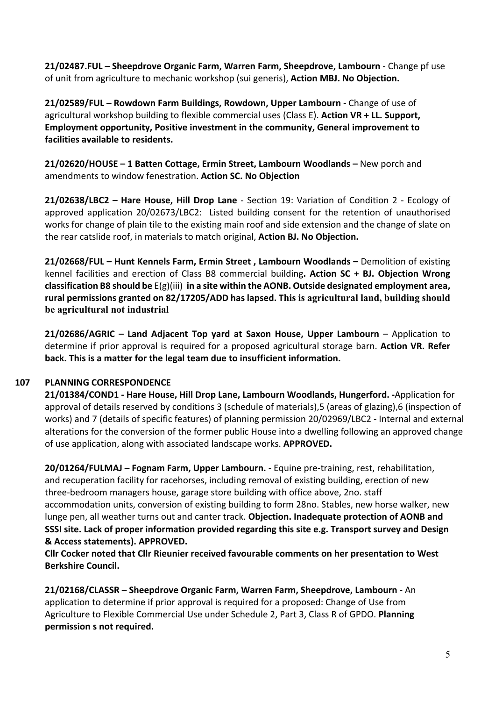**21/02487.FUL – Sheepdrove Organic Farm, Warren Farm, Sheepdrove, Lambourn** - Change pf use of unit from agriculture to mechanic workshop (sui generis), **Action MBJ. No Objection.**

**21/02589/FUL – Rowdown Farm Buildings, Rowdown, Upper Lambourn** - Change of use of agricultural workshop building to flexible commercial uses (Class E). **Action VR + LL. Support, Employment opportunity, Positive investment in the community, General improvement to facilities available to residents.**

**21/02620/HOUSE – 1 Batten Cottage, Ermin Street, Lambourn Woodlands –** New porch and amendments to window fenestration. **Action SC. No Objection**

**21/02638/LBC2 – Hare House, Hill Drop Lane** - Section 19: Variation of Condition 2 - Ecology of approved application 20/02673/LBC2: Listed building consent for the retention of unauthorised works for change of plain tile to the existing main roof and side extension and the change of slate on the rear catslide roof, in materials to match original, **Action BJ. No Objection.**

**21/02668/FUL – Hunt Kennels Farm, Ermin Street , Lambourn Woodlands –** Demolition of existing kennel facilities and erection of Class B8 commercial building**. Action SC + BJ. Objection Wrong classification B8 should be** E(g)(iii) **in a site within the AONB. Outside designated employment area, rural permissions granted on 82/17205/ADD has lapsed. This is agricultural land, building should be agricultural not industrial**

**21/02686/AGRIC – Land Adjacent Top yard at Saxon House, Upper Lambourn** – Application to determine if prior approval is required for a proposed agricultural storage barn. **Action VR. Refer back. This is a matter for the legal team due to insufficient information.**

## **107 PLANNING CORRESPONDENCE**

**21/01384/COND1 - Hare House, Hill Drop Lane, Lambourn Woodlands, Hungerford. -**Application for approval of details reserved by conditions 3 (schedule of materials),5 (areas of glazing),6 (inspection of works) and 7 (details of specific features) of planning permission 20/02969/LBC2 - Internal and external alterations for the conversion of the former public House into a dwelling following an approved change of use application, along with associated landscape works. **APPROVED.**

**20/01264/FULMAJ – Fognam Farm, Upper Lambourn.** - Equine pre-training, rest, rehabilitation, and recuperation facility for racehorses, including removal of existing building, erection of new three-bedroom managers house, garage store building with office above, 2no. staff accommodation units, conversion of existing building to form 28no. Stables, new horse walker, new lunge pen, all weather turns out and canter track. **Objection. Inadequate protection of AONB and SSSI site. Lack of proper information provided regarding this site e.g. Transport survey and Design & Access statements). APPROVED.**

**Cllr Cocker noted that Cllr Rieunier received favourable comments on her presentation to West Berkshire Council.**

**21/02168/CLASSR – Sheepdrove Organic Farm, Warren Farm, Sheepdrove, Lambourn -** An application to determine if prior approval is required for a proposed: Change of Use from Agriculture to Flexible Commercial Use under Schedule 2, Part 3, Class R of GPDO. **Planning permission s not required.**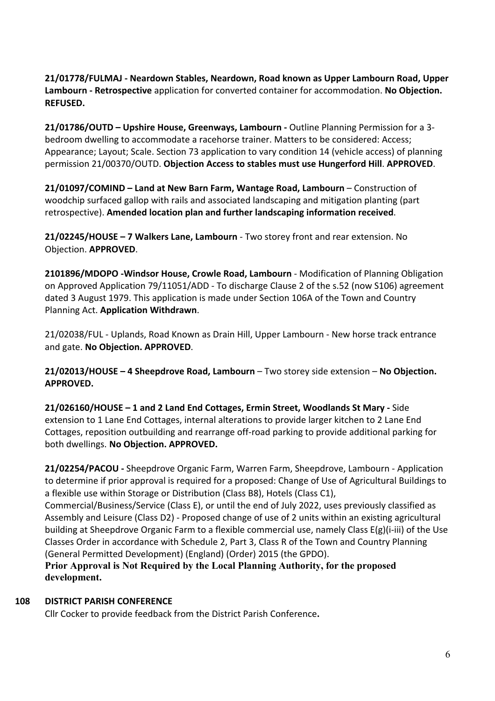**21/01778/FULMAJ - Neardown Stables, Neardown, Road known as Upper Lambourn Road, Upper Lambourn - Retrospective** application for converted container for accommodation. **No Objection. REFUSED.**

**21/01786/OUTD – Upshire House, Greenways, Lambourn -** Outline Planning Permission for a 3 bedroom dwelling to accommodate a racehorse trainer. Matters to be considered: Access; Appearance; Layout; Scale. Section 73 application to vary condition 14 (vehicle access) of planning permission 21/00370/OUTD. **Objection Access to stables must use Hungerford Hill**. **APPROVED**.

**21/01097/COMIND – Land at New Barn Farm, Wantage Road, Lambourn** – Construction of woodchip surfaced gallop with rails and associated landscaping and mitigation planting (part retrospective). **Amended location plan and further landscaping information received**.

**21/02245/HOUSE – 7 Walkers Lane, Lambourn** - Two storey front and rear extension. No Objection. **APPROVED**.

**2101896/MDOPO -Windsor House, Crowle Road, Lambourn** - Modification of Planning Obligation on Approved Application 79/11051/ADD - To discharge Clause 2 of the s.52 (now S106) agreement dated 3 August 1979. This application is made under Section 106A of the Town and Country Planning Act. **Application Withdrawn**.

21/02038/FUL - Uplands, Road Known as Drain Hill, Upper Lambourn - New horse track entrance and gate. **No Objection. APPROVED**.

**21/02013/HOUSE – 4 Sheepdrove Road, Lambourn** – Two storey side extension – **No Objection. APPROVED.**

**21/026160/HOUSE – 1 and 2 Land End Cottages, Ermin Street, Woodlands St Mary -** Side extension to 1 Lane End Cottages, internal alterations to provide larger kitchen to 2 Lane End Cottages, reposition outbuilding and rearrange off-road parking to provide additional parking for both dwellings. **No Objection. APPROVED.**

**21/02254/PACOU -** Sheepdrove Organic Farm, Warren Farm, Sheepdrove, Lambourn - Application to determine if prior approval is required for a proposed: Change of Use of Agricultural Buildings to a flexible use within Storage or Distribution (Class B8), Hotels (Class C1),

Commercial/Business/Service (Class E), or until the end of July 2022, uses previously classified as Assembly and Leisure (Class D2) - Proposed change of use of 2 units within an existing agricultural building at Sheepdrove Organic Farm to a flexible commercial use, namely Class E(g)(i-iii) of the Use Classes Order in accordance with Schedule 2, Part 3, Class R of the Town and Country Planning (General Permitted Development) (England) (Order) 2015 (the GPDO).

**Prior Approval is Not Required by the Local Planning Authority, for the proposed development.**

## **108 DISTRICT PARISH CONFERENCE**

Cllr Cocker to provide feedback from the District Parish Conference**.**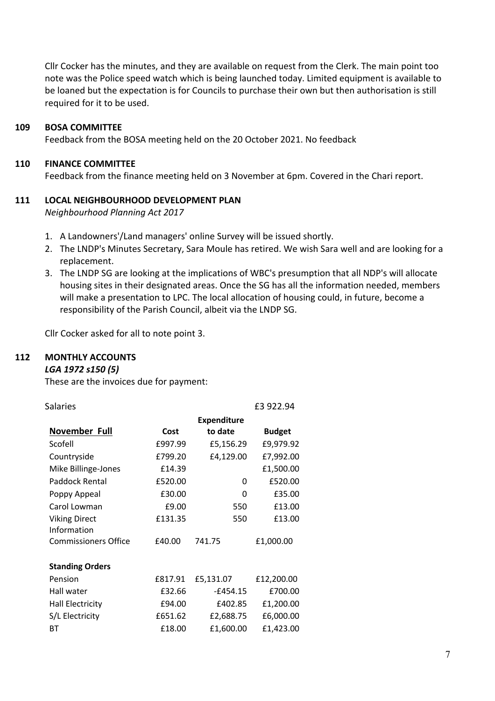Cllr Cocker has the minutes, and they are available on request from the Clerk. The main point too note was the Police speed watch which is being launched today. Limited equipment is available to be loaned but the expectation is for Councils to purchase their own but then authorisation is still required for it to be used.

#### **109 BOSA COMMITTEE**

Feedback from the BOSA meeting held on the 20 October 2021. No feedback

#### **110 FINANCE COMMITTEE**

Feedback from the finance meeting held on 3 November at 6pm. Covered in the Chari report.

#### **111 LOCAL NEIGHBOURHOOD DEVELOPMENT PLAN**

*Neighbourhood Planning Act 2017*

- 1. A Landowners'/Land managers' online Survey will be issued shortly.
- 2. The LNDP's Minutes Secretary, Sara Moule has retired. We wish Sara well and are looking for a replacement.
- 3. The LNDP SG are looking at the implications of WBC's presumption that all NDP's will allocate housing sites in their designated areas. Once the SG has all the information needed, members will make a presentation to LPC. The local allocation of housing could, in future, become a responsibility of the Parish Council, albeit via the LNDP SG.

Cllr Cocker asked for all to note point 3.

#### **112 MONTHLY ACCOUNTS**

## *LGA 1972 s150 (5)*

These are the invoices due for payment:

| Salaries                    |         |                    | £3 922.94     |
|-----------------------------|---------|--------------------|---------------|
|                             |         | <b>Expenditure</b> |               |
| November Full               | Cost    | to date            | <b>Budget</b> |
| Scofell                     | £997.99 | £5,156.29          | £9,979.92     |
| Countryside                 | £799.20 | £4,129.00          | £7,992.00     |
| Mike Billinge-Jones         | £14.39  |                    | £1,500.00     |
| Paddock Rental              | £520.00 | 0                  | £520.00       |
| Poppy Appeal                | £30.00  | 0                  | £35.00        |
| Carol Lowman                | £9.00   | 550                | £13.00        |
| <b>Viking Direct</b>        | £131.35 | 550                | £13.00        |
| Information                 |         |                    |               |
| <b>Commissioners Office</b> | £40.00  | 741.75             | £1,000.00     |
|                             |         |                    |               |
| <b>Standing Orders</b>      |         |                    |               |
| Pension                     | £817.91 | £5,131.07          | £12,200.00    |
| Hall water                  | £32.66  | $-£454.15$         | £700.00       |
| <b>Hall Electricity</b>     | £94.00  | £402.85            | £1,200.00     |
| S/L Electricity             | £651.62 | £2,688.75          | £6,000.00     |
| ВT                          | £18.00  | £1,600.00          | £1,423.00     |
|                             |         |                    |               |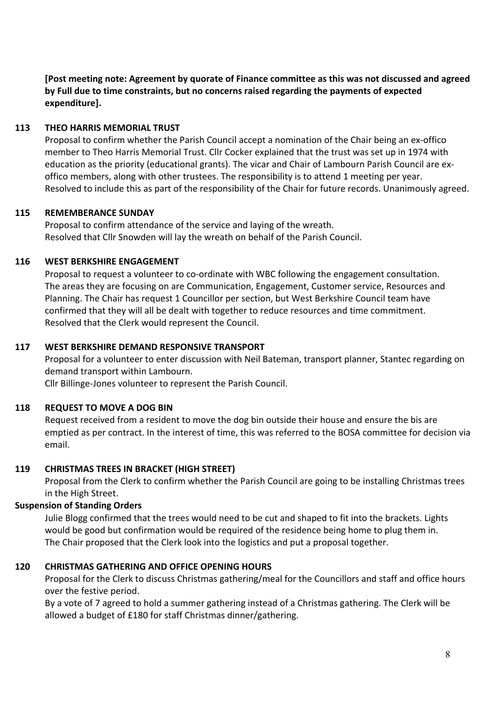**[Post meeting note: Agreement by quorate of Finance committee as this was not discussed and agreed by Full due to time constraints, but no concerns raised regarding the payments of expected expenditure].**

## **113 THEO HARRIS MEMORIAL TRUST**

Proposal to confirm whether the Parish Council accept a nomination of the Chair being an ex-offico member to Theo Harris Memorial Trust. Cllr Cocker explained that the trust was set up in 1974 with education as the priority (educational grants). The vicar and Chair of Lambourn Parish Council are exoffico members, along with other trustees. The responsibility is to attend 1 meeting per year. Resolved to include this as part of the responsibility of the Chair for future records. Unanimously agreed.

## **115 REMEMBERANCE SUNDAY**

Proposal to confirm attendance of the service and laying of the wreath. Resolved that Cllr Snowden will lay the wreath on behalf of the Parish Council.

## **116 WEST BERKSHIRE ENGAGEMENT**

Proposal to request a volunteer to co-ordinate with WBC following the engagement consultation. The areas they are focusing on are Communication, Engagement, Customer service, Resources and Planning. The Chair has request 1 Councillor per section, but West Berkshire Council team have confirmed that they will all be dealt with together to reduce resources and time commitment. Resolved that the Clerk would represent the Council.

## **117 WEST BERKSHIRE DEMAND RESPONSIVE TRANSPORT**

Proposal for a volunteer to enter discussion with Neil Bateman, transport planner, Stantec regarding on demand transport within Lambourn.

Cllr Billinge-Jones volunteer to represent the Parish Council.

## **118 REQUEST TO MOVE A DOG BIN**

Request received from a resident to move the dog bin outside their house and ensure the bis are emptied as per contract. In the interest of time, this was referred to the BOSA committee for decision via email.

## **119 CHRISTMAS TREES IN BRACKET (HIGH STREET)**

Proposal from the Clerk to confirm whether the Parish Council are going to be installing Christmas trees in the High Street.

## **Suspension of Standing Orders**

Julie Blogg confirmed that the trees would need to be cut and shaped to fit into the brackets. Lights would be good but confirmation would be required of the residence being home to plug them in. The Chair proposed that the Clerk look into the logistics and put a proposal together.

## **120 CHRISTMAS GATHERING AND OFFICE OPENING HOURS**

Proposal for the Clerk to discuss Christmas gathering/meal for the Councillors and staff and office hours over the festive period.

By a vote of 7 agreed to hold a summer gathering instead of a Christmas gathering. The Clerk will be allowed a budget of £180 for staff Christmas dinner/gathering.